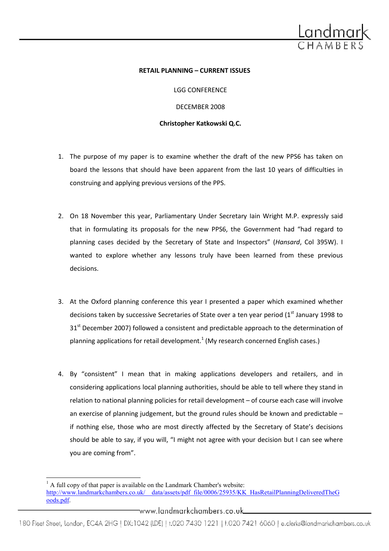

#### RETAIL PLANNING – CURRENT ISSUES

LGG CONFERENCE DECEMBER 2008 Christopher Katkowski Q.C.

- 1. The purpose of my paper is to examine whether the draft of the new PPS6 has taken on board the lessons that should have been apparent from the last 10 years of difficulties in construing and applying previous versions of the PPS.
- 2. On 18 November this year, Parliamentary Under Secretary Iain Wright M.P. expressly said that in formulating its proposals for the new PPS6, the Government had "had regard to planning cases decided by the Secretary of State and Inspectors" (Hansard, Col 395W). I wanted to explore whether any lessons truly have been learned from these previous decisions.
- 3. At the Oxford planning conference this year I presented a paper which examined whether decisions taken by successive Secretaries of State over a ten year period  $(1<sup>st</sup>$  January 1998 to 31<sup>st</sup> December 2007) followed a consistent and predictable approach to the determination of planning applications for retail development.<sup>1</sup> (My research concerned English cases.)
- 4. By "consistent" I mean that in making applications developers and retailers, and in considering applications local planning authorities, should be able to tell where they stand in relation to national planning policies for retail development – of course each case will involve an exercise of planning judgement, but the ground rules should be known and predictable – if nothing else, those who are most directly affected by the Secretary of State's decisions should be able to say, if you will, "I might not agree with your decision but I can see where you are coming from".

l

www.landmarkchambers.co.uk\_

 $<sup>1</sup>$  A full copy of that paper is available on the Landmark Chamber's website:</sup> http://www.landmarkchambers.co.uk/\_\_data/assets/pdf\_file/0006/25935/KK\_HasRetailPlanningDeliveredTheG oods.pdf.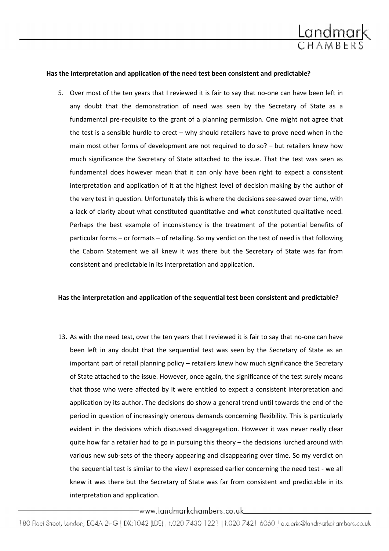

#### Has the interpretation and application of the need test been consistent and predictable?

5. Over most of the ten years that I reviewed it is fair to say that no-one can have been left in any doubt that the demonstration of need was seen by the Secretary of State as a fundamental pre-requisite to the grant of a planning permission. One might not agree that the test is a sensible hurdle to erect – why should retailers have to prove need when in the main most other forms of development are not required to do so? – but retailers knew how much significance the Secretary of State attached to the issue. That the test was seen as fundamental does however mean that it can only have been right to expect a consistent interpretation and application of it at the highest level of decision making by the author of the very test in question. Unfortunately this is where the decisions see-sawed over time, with a lack of clarity about what constituted quantitative and what constituted qualitative need. Perhaps the best example of inconsistency is the treatment of the potential benefits of particular forms – or formats – of retailing. So my verdict on the test of need is that following the Caborn Statement we all knew it was there but the Secretary of State was far from consistent and predictable in its interpretation and application.

#### Has the interpretation and application of the sequential test been consistent and predictable?

13. As with the need test, over the ten years that I reviewed it is fair to say that no-one can have been left in any doubt that the sequential test was seen by the Secretary of State as an important part of retail planning policy – retailers knew how much significance the Secretary of State attached to the issue. However, once again, the significance of the test surely means that those who were affected by it were entitled to expect a consistent interpretation and application by its author. The decisions do show a general trend until towards the end of the period in question of increasingly onerous demands concerning flexibility. This is particularly evident in the decisions which discussed disaggregation. However it was never really clear quite how far a retailer had to go in pursuing this theory – the decisions lurched around with various new sub-sets of the theory appearing and disappearing over time. So my verdict on the sequential test is similar to the view I expressed earlier concerning the need test - we all knew it was there but the Secretary of State was far from consistent and predictable in its interpretation and application.

\_www.landmarkchambers.co.uk\_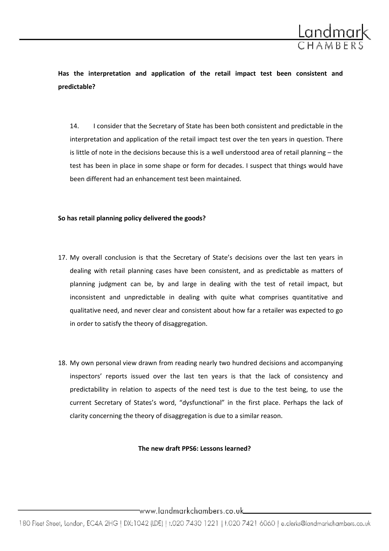

Has the interpretation and application of the retail impact test been consistent and predictable?

14. I consider that the Secretary of State has been both consistent and predictable in the interpretation and application of the retail impact test over the ten years in question. There is little of note in the decisions because this is a well understood area of retail planning – the test has been in place in some shape or form for decades. I suspect that things would have been different had an enhancement test been maintained.

# So has retail planning policy delivered the goods?

- 17. My overall conclusion is that the Secretary of State's decisions over the last ten years in dealing with retail planning cases have been consistent, and as predictable as matters of planning judgment can be, by and large in dealing with the test of retail impact, but inconsistent and unpredictable in dealing with quite what comprises quantitative and qualitative need, and never clear and consistent about how far a retailer was expected to go in order to satisfy the theory of disaggregation.
- 18. My own personal view drawn from reading nearly two hundred decisions and accompanying inspectors' reports issued over the last ten years is that the lack of consistency and predictability in relation to aspects of the need test is due to the test being, to use the current Secretary of States's word, "dysfunctional" in the first place. Perhaps the lack of clarity concerning the theory of disaggregation is due to a similar reason.

#### The new draft PPS6: Lessons learned?

www.landmarkchambers.co.uk\_\_\_\_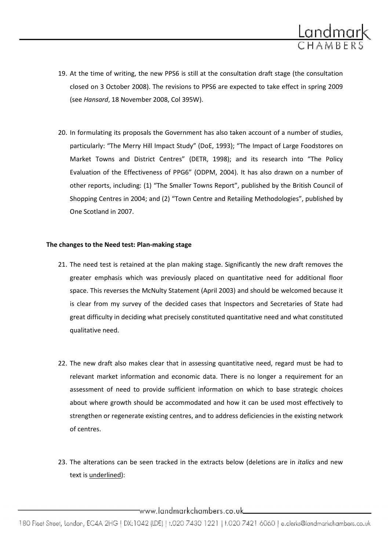

- 19. At the time of writing, the new PPS6 is still at the consultation draft stage (the consultation closed on 3 October 2008). The revisions to PPS6 are expected to take effect in spring 2009 (see Hansard, 18 November 2008, Col 395W).
- 20. In formulating its proposals the Government has also taken account of a number of studies, particularly: "The Merry Hill Impact Study" (DoE, 1993); "The Impact of Large Foodstores on Market Towns and District Centres" (DETR, 1998); and its research into "The Policy Evaluation of the Effectiveness of PPG6" (ODPM, 2004). It has also drawn on a number of other reports, including: (1) "The Smaller Towns Report", published by the British Council of Shopping Centres in 2004; and (2) "Town Centre and Retailing Methodologies", published by One Scotland in 2007.

# The changes to the Need test: Plan-making stage

- 21. The need test is retained at the plan making stage. Significantly the new draft removes the greater emphasis which was previously placed on quantitative need for additional floor space. This reverses the McNulty Statement (April 2003) and should be welcomed because it is clear from my survey of the decided cases that Inspectors and Secretaries of State had great difficulty in deciding what precisely constituted quantitative need and what constituted qualitative need.
- 22. The new draft also makes clear that in assessing quantitative need, regard must be had to relevant market information and economic data. There is no longer a requirement for an assessment of need to provide sufficient information on which to base strategic choices about where growth should be accommodated and how it can be used most effectively to strengthen or regenerate existing centres, and to address deficiencies in the existing network of centres.
- 23. The alterations can be seen tracked in the extracts below (deletions are in *italics* and new text is underlined):

www.landmarkchambers.co.uk\_\_\_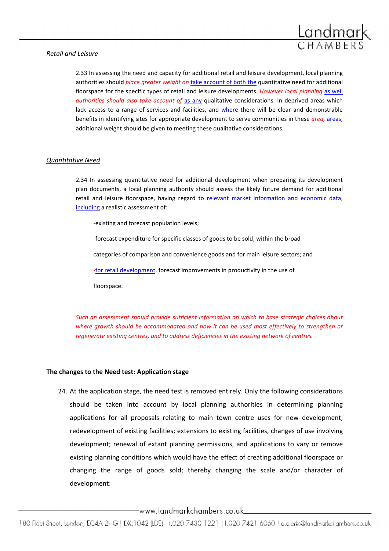# Retail and Leisure



# Quantitative Need

2.34 In assessing quantitative need for additional development when preparing its development plan documents, a local planning authority should assess the likely future demand for additional retail and leisure floorspace, having regard to relevant market information and economic data, including a realistic assessment of:

-existing and forecast population levels;

-forecast expenditure for specific classes of goods to be sold, within the broad

categories of comparison and convenience goods and for main leisure sectors; and

-for retail development, forecast improvements in productivity in the use of

floorspace.

Such an assessment should provide sufficient information on which to base strategic choices about where growth should be accommodated and how it can be used most effectively to strengthen or regenerate existing centres, and to address deficiencies in the existing network of centres.

# The changes to the Need test: Application stage

24. At the application stage, the need test is removed entirely. Only the following considerations should be taken into account by local planning authorities in determining planning applications for all proposals relating to main town centre uses for new development; redevelopment of existing facilities; extensions to existing facilities, changes of use involving development; renewal of extant planning permissions, and applications to vary or remove existing planning conditions which would have the effect of creating additional floorspace or changing the range of goods sold; thereby changing the scale and/or character of development:

www.landmarkchambers.co.uk\_\_\_\_\_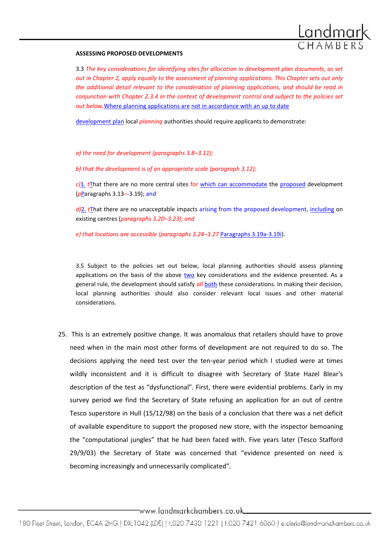

#### ASSESSING PROPOSED DEVELOPMENTS

3.3 The key considerations for identifying sites for allocation in development plan documents, as set out in Chapter 2, apply equally to the assessment of planning applications. This Chapter sets out only the additional detail relevant to the consideration of planning applications, and should be read in conjunction with Chapter 2.3.4 In the context of development control and subject to the policies set out below,Where planning applications are not in accordance with an up to date

development plan local *planning* authorities should require applicants to demonstrate:

a) the need for development (paragraphs 3.8–3.11);

b) that the development is of an appropriate scale (paragraph 3.12);

 $c$ )1. tThat there are no more central sites for which can accommodate the proposed development (pParagraphs 3.13–-3.19); and

 $d$ )2. tThat there are no unacceptable impacts arising from the proposed development, including on existing centres (paragraphs 3.20–3.23); and

e) that locations are accessible (paragraphs 3.24–3.27 Paragraphs 3.19a-3.19i).

3.5 Subject to the policies set out below, local planning authorities should assess planning applications on the basis of the above two key considerations and the evidence presented. As a general rule, the development should satisfy all both these considerations. In making their decision, local planning authorities should also consider relevant local issues and other material considerations.

25. This is an extremely positive change. It was anomalous that retailers should have to prove need when in the main most other forms of development are not required to do so. The decisions applying the need test over the ten-year period which I studied were at times wildly inconsistent and it is difficult to disagree with Secretary of State Hazel Blear's description of the test as "dysfunctional". First, there were evidential problems. Early in my survey period we find the Secretary of State refusing an application for an out of centre Tesco superstore in Hull (15/12/98) on the basis of a conclusion that there was a net deficit of available expenditure to support the proposed new store, with the inspector bemoaning the "computational jungles" that he had been faced with. Five years later (Tesco Stafford 29/9/03) the Secretary of State was concerned that "evidence presented on need is becoming increasingly and unnecessarily complicated".

www.landmarkchambers.co.uk\_\_\_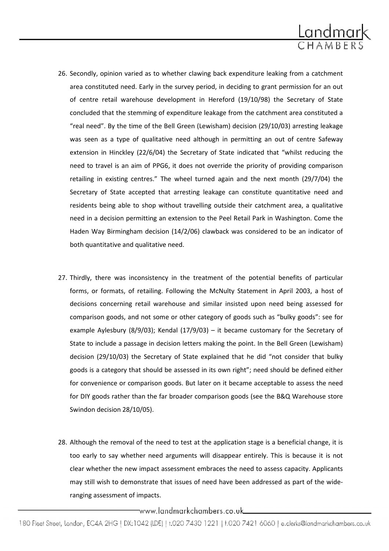

- 26. Secondly, opinion varied as to whether clawing back expenditure leaking from a catchment area constituted need. Early in the survey period, in deciding to grant permission for an out of centre retail warehouse development in Hereford (19/10/98) the Secretary of State concluded that the stemming of expenditure leakage from the catchment area constituted a "real need". By the time of the Bell Green (Lewisham) decision (29/10/03) arresting leakage was seen as a type of qualitative need although in permitting an out of centre Safeway extension in Hinckley (22/6/04) the Secretary of State indicated that "whilst reducing the need to travel is an aim of PPG6, it does not override the priority of providing comparison retailing in existing centres." The wheel turned again and the next month (29/7/04) the Secretary of State accepted that arresting leakage can constitute quantitative need and residents being able to shop without travelling outside their catchment area, a qualitative need in a decision permitting an extension to the Peel Retail Park in Washington. Come the Haden Way Birmingham decision (14/2/06) clawback was considered to be an indicator of both quantitative and qualitative need.
- 27. Thirdly, there was inconsistency in the treatment of the potential benefits of particular forms, or formats, of retailing. Following the McNulty Statement in April 2003, a host of decisions concerning retail warehouse and similar insisted upon need being assessed for comparison goods, and not some or other category of goods such as "bulky goods": see for example Aylesbury (8/9/03); Kendal (17/9/03) – it became customary for the Secretary of State to include a passage in decision letters making the point. In the Bell Green (Lewisham) decision (29/10/03) the Secretary of State explained that he did "not consider that bulky goods is a category that should be assessed in its own right"; need should be defined either for convenience or comparison goods. But later on it became acceptable to assess the need for DIY goods rather than the far broader comparison goods (see the B&Q Warehouse store Swindon decision 28/10/05).
- 28. Although the removal of the need to test at the application stage is a beneficial change, it is too early to say whether need arguments will disappear entirely. This is because it is not clear whether the new impact assessment embraces the need to assess capacity. Applicants may still wish to demonstrate that issues of need have been addressed as part of the wideranging assessment of impacts.

\_www.landmarkchambers.co.uk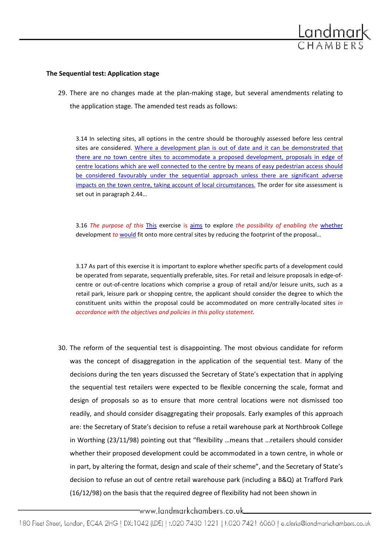

#### The Sequential test: Application stage

29. There are no changes made at the plan-making stage, but several amendments relating to the application stage. The amended test reads as follows:

3.14 In selecting sites, all options in the centre should be thoroughly assessed before less central sites are considered. Where a development plan is out of date and it can be demonstrated that there are no town centre sites to accommodate a proposed development, proposals in edge of centre locations which are well connected to the centre by means of easy pedestrian access should be considered favourably under the sequential approach unless there are significant adverse impacts on the town centre, taking account of local circumstances. The order for site assessment is set out in paragraph 2.44…

3.16 The purpose of this This exercise is aims to explore the possibility of enabling the whether development to would fit onto more central sites by reducing the footprint of the proposal...

3.17 As part of this exercise it is important to explore whether specific parts of a development could be operated from separate, sequentially preferable, sites. For retail and leisure proposals in edge-ofcentre or out-of-centre locations which comprise a group of retail and/or leisure units, such as a retail park, leisure park or shopping centre, the applicant should consider the degree to which the constituent units within the proposal could be accommodated on more centrally-located sites in accordance with the objectives and policies in this policy statement.

30. The reform of the sequential test is disappointing. The most obvious candidate for reform was the concept of disaggregation in the application of the sequential test. Many of the decisions during the ten years discussed the Secretary of State's expectation that in applying the sequential test retailers were expected to be flexible concerning the scale, format and design of proposals so as to ensure that more central locations were not dismissed too readily, and should consider disaggregating their proposals. Early examples of this approach are: the Secretary of State's decision to refuse a retail warehouse park at Northbrook College in Worthing (23/11/98) pointing out that "flexibility …means that …retailers should consider whether their proposed development could be accommodated in a town centre, in whole or in part, by altering the format, design and scale of their scheme", and the Secretary of State's decision to refuse an out of centre retail warehouse park (including a B&Q) at Trafford Park (16/12/98) on the basis that the required degree of flexibility had not been shown in

-www.landmarkchambers.co.uk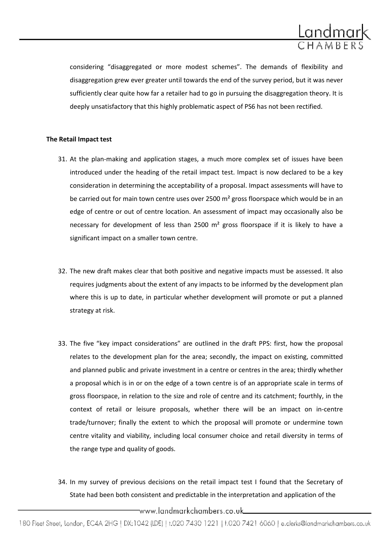

considering "disaggregated or more modest schemes". The demands of flexibility and disaggregation grew ever greater until towards the end of the survey period, but it was never sufficiently clear quite how far a retailer had to go in pursuing the disaggregation theory. It is deeply unsatisfactory that this highly problematic aspect of PS6 has not been rectified.

# The Retail Impact test

- 31. At the plan-making and application stages, a much more complex set of issues have been introduced under the heading of the retail impact test. Impact is now declared to be a key consideration in determining the acceptability of a proposal. Impact assessments will have to be carried out for main town centre uses over 2500 m<sup>2</sup> gross floorspace which would be in an edge of centre or out of centre location. An assessment of impact may occasionally also be necessary for development of less than 2500 m<sup>2</sup> gross floorspace if it is likely to have a significant impact on a smaller town centre.
- 32. The new draft makes clear that both positive and negative impacts must be assessed. It also requires judgments about the extent of any impacts to be informed by the development plan where this is up to date, in particular whether development will promote or put a planned strategy at risk.
- 33. The five "key impact considerations" are outlined in the draft PPS: first, how the proposal relates to the development plan for the area; secondly, the impact on existing, committed and planned public and private investment in a centre or centres in the area; thirdly whether a proposal which is in or on the edge of a town centre is of an appropriate scale in terms of gross floorspace, in relation to the size and role of centre and its catchment; fourthly, in the context of retail or leisure proposals, whether there will be an impact on in-centre trade/turnover; finally the extent to which the proposal will promote or undermine town centre vitality and viability, including local consumer choice and retail diversity in terms of the range type and quality of goods.
- 34. In my survey of previous decisions on the retail impact test I found that the Secretary of State had been both consistent and predictable in the interpretation and application of the

www.landmarkchambers.co.uk...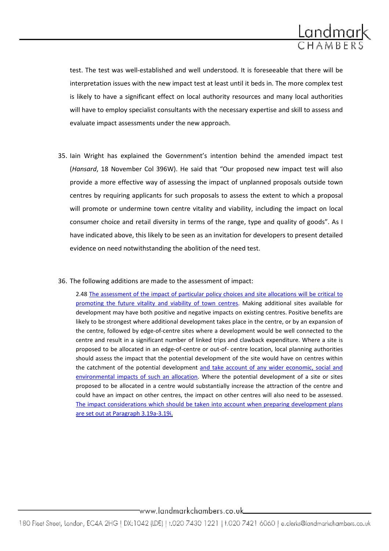

test. The test was well-established and well understood. It is foreseeable that there will be interpretation issues with the new impact test at least until it beds in. The more complex test is likely to have a significant effect on local authority resources and many local authorities will have to employ specialist consultants with the necessary expertise and skill to assess and evaluate impact assessments under the new approach.

- 35. Iain Wright has explained the Government's intention behind the amended impact test (Hansard, 18 November Col 396W). He said that "Our proposed new impact test will also provide a more effective way of assessing the impact of unplanned proposals outside town centres by requiring applicants for such proposals to assess the extent to which a proposal will promote or undermine town centre vitality and viability, including the impact on local consumer choice and retail diversity in terms of the range, type and quality of goods". As I have indicated above, this likely to be seen as an invitation for developers to present detailed evidence on need notwithstanding the abolition of the need test.
- 36. The following additions are made to the assessment of impact:

2.48 The assessment of the impact of particular policy choices and site allocations will be critical to promoting the future vitality and viability of town centres. Making additional sites available for development may have both positive and negative impacts on existing centres. Positive benefits are likely to be strongest where additional development takes place in the centre, or by an expansion of the centre, followed by edge-of-centre sites where a development would be well connected to the centre and result in a significant number of linked trips and clawback expenditure. Where a site is proposed to be allocated in an edge-of-centre or out-of- centre location, local planning authorities should assess the impact that the potential development of the site would have on centres within the catchment of the potential development and take account of any wider economic, social and environmental impacts of such an allocation. Where the potential development of a site or sites proposed to be allocated in a centre would substantially increase the attraction of the centre and could have an impact on other centres, the impact on other centres will also need to be assessed. The impact considerations which should be taken into account when preparing development plans are set out at Paragraph 3.19a-3.19i.

# \_www.landmarkchambers.co.uk\_\_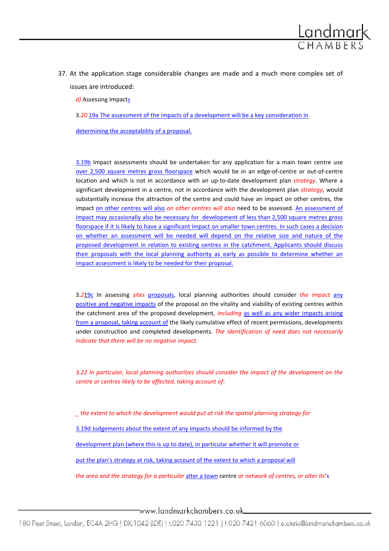

d) Assessing Impacts

3.20 19a The assessment of the impacts of a development will be a key consideration in

determining the acceptability of a proposal.

3.19b Impact assessments should be undertaken for any application for a main town centre use over 2,500 square metres gross floorspace which would be in an edge-of-centre or out-of-centre location and which is not in accordance with an up-to-date development plan strategy. Where a significant development in a centre, not in accordance with the development plan strategy, would substantially increase the attraction of the centre and could have an impact on other centres, the impact on other centres will also on other centres will also need to be assessed. An assessment of impact may occasionally also be necessary for development of less than 2,500 square metres gross floorspace if it is likely to have a significant impact on smaller town centres. In such cases a decision on whether an assessment will be needed will depend on the relative size and nature of the proposed development in relation to existing centres in the catchment. Applicants should discuss their proposals with the local planning authority as early as possible to determine whether an impact assessment is likely to be needed for their proposal.

3.219c In assessing sites proposals, local planning authorities should consider the impact any positive and negative impacts of the proposal on the vitality and viability of existing centres within the catchment area of the proposed development, *including* as well as any wider impacts arising from a proposal, taking account of the likely cumulative effect of recent permissions, developments under construction and completed developments. The identification of need does not necessarily indicate that there will be no negative impact.

3.22 In particular, local planning authorities should consider the impact of the development on the centre or centres likely to be affected, taking account of:

the extent to which the development would put at risk the spatial planning strategy for

3.19d Judgements about the extent of any impacts should be informed by the

development plan (where this is up to date), in particular whether it will promote or

put the plan's strategy at risk, taking account of the extent to which a proposal will

the area and the strategy for a particular alter a town centre or network of centres, or alter its's

www.landmarkchambers.co.uk\_\_\_\_\_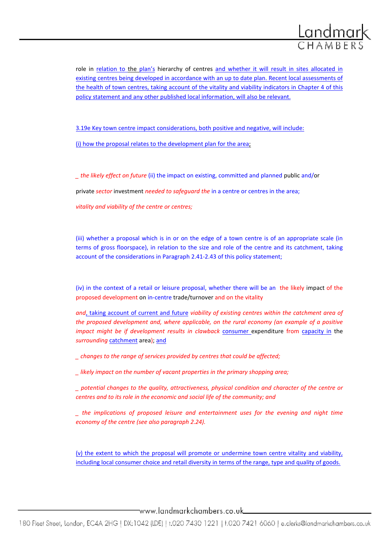

role in relation to the plan's hierarchy of centres and whether it will result in sites allocated in existing centres being developed in accordance with an up to date plan. Recent local assessments of the health of town centres, taking account of the vitality and viability indicators in Chapter 4 of this policy statement and any other published local information, will also be relevant.

3.19e Key town centre impact considerations, both positive and negative, will include:

(i) how the proposal relates to the development plan for the area;

\_ the likely effect on future (ii) the impact on existing, committed and planned public and/or

private sector investment needed to safeguard the in a centre or centres in the area;

vitality and viability of the centre or centres;

(iii) whether a proposal which is in or on the edge of a town centre is of an appropriate scale (in terms of gross floorspace), in relation to the size and role of the centre and its catchment, taking account of the considerations in Paragraph 2.41-2.43 of this policy statement;

(iv) in the context of a retail or leisure proposal, whether there will be an the likely impact of the proposed development on in-centre trade/turnover and on the vitality

and, taking account of current and future viability of existing centres within the catchment area of the proposed development and, where applicable, on the rural economy (an example of a positive impact might be if development results in clawback consumer expenditure from capacity in the surrounding catchment area); and

\_ changes to the range of services provided by centres that could be affected;

\_ likely impact on the number of vacant properties in the primary shopping area;

\_ potential changes to the quality, attractiveness, physical condition and character of the centre or centres and to its role in the economic and social life of the community; and

\_ the implications of proposed leisure and entertainment uses for the evening and night time economy of the centre (see also paragraph 2.24).

(v) the extent to which the proposal will promote or undermine town centre vitality and viability, including local consumer choice and retail diversity in terms of the range, type and quality of goods.

www.landmarkchambers.co.uk\_\_\_\_\_\_\_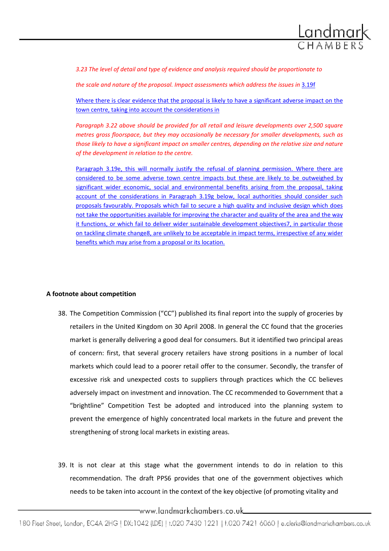

3.23 The level of detail and type of evidence and analysis required should be proportionate to

the scale and nature of the proposal. Impact assessments which address the issues in 3.19f

Where there is clear evidence that the proposal is likely to have a significant adverse impact on the town centre, taking into account the considerations in

Paragraph 3.22 above should be provided for all retail and leisure developments over 2,500 square metres gross floorspace, but they may occasionally be necessary for smaller developments, such as those likely to have a significant impact on smaller centres, depending on the relative size and nature of the development in relation to the centre.

Paragraph 3.19e, this will normally justify the refusal of planning permission. Where there are considered to be some adverse town centre impacts but these are likely to be outweighed by significant wider economic, social and environmental benefits arising from the proposal, taking account of the considerations in Paragraph 3.19g below, local authorities should consider such proposals favourably. Proposals which fail to secure a high quality and inclusive design which does not take the opportunities available for improving the character and quality of the area and the way it functions, or which fail to deliver wider sustainable development objectives7, in particular those on tackling climate change8, are unlikely to be acceptable in impact terms, irrespective of any wider benefits which may arise from a proposal or its location.

#### A footnote about competition

- 38. The Competition Commission ("CC") published its final report into the supply of groceries by retailers in the United Kingdom on 30 April 2008. In general the CC found that the groceries market is generally delivering a good deal for consumers. But it identified two principal areas of concern: first, that several grocery retailers have strong positions in a number of local markets which could lead to a poorer retail offer to the consumer. Secondly, the transfer of excessive risk and unexpected costs to suppliers through practices which the CC believes adversely impact on investment and innovation. The CC recommended to Government that a "brightline" Competition Test be adopted and introduced into the planning system to prevent the emergence of highly concentrated local markets in the future and prevent the strengthening of strong local markets in existing areas.
- 39. It is not clear at this stage what the government intends to do in relation to this recommendation. The draft PPS6 provides that one of the government objectives which needs to be taken into account in the context of the key objective (of promoting vitality and

\_www.landmarkchambers.co.uk